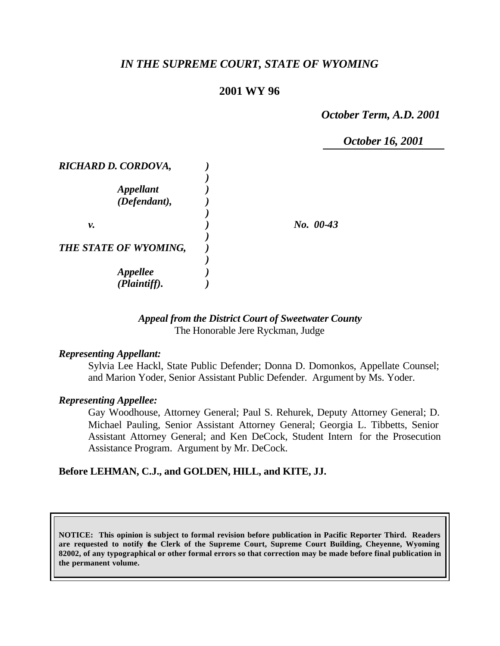# *IN THE SUPREME COURT, STATE OF WYOMING*

# **2001 WY 96**

*October Term, A.D. 2001*

*October 16, 2001*

| RICHARD D. CORDOVA,   |             |
|-----------------------|-------------|
|                       |             |
| <b>Appellant</b>      |             |
| (Defendant),          |             |
|                       |             |
| ν.                    | $No. 00-43$ |
|                       |             |
| THE STATE OF WYOMING, |             |
|                       |             |
| <b>Appellee</b>       |             |
| (Plaintiff).          |             |

# *Appeal from the District Court of Sweetwater County* The Honorable Jere Ryckman, Judge

### *Representing Appellant:*

Sylvia Lee Hackl, State Public Defender; Donna D. Domonkos, Appellate Counsel; and Marion Yoder, Senior Assistant Public Defender. Argument by Ms. Yoder.

### *Representing Appellee:*

Gay Woodhouse, Attorney General; Paul S. Rehurek, Deputy Attorney General; D. Michael Pauling, Senior Assistant Attorney General; Georgia L. Tibbetts, Senior Assistant Attorney General; and Ken DeCock, Student Intern for the Prosecution Assistance Program. Argument by Mr. DeCock.

# **Before LEHMAN, C.J., and GOLDEN, HILL, and KITE, JJ.**

**NOTICE: This opinion is subject to formal revision before publication in Pacific Reporter Third. Readers are requested to notify the Clerk of the Supreme Court, Supreme Court Building, Cheyenne, Wyoming 82002, of any typographical or other formal errors so that correction may be made before final publication in the permanent volume.**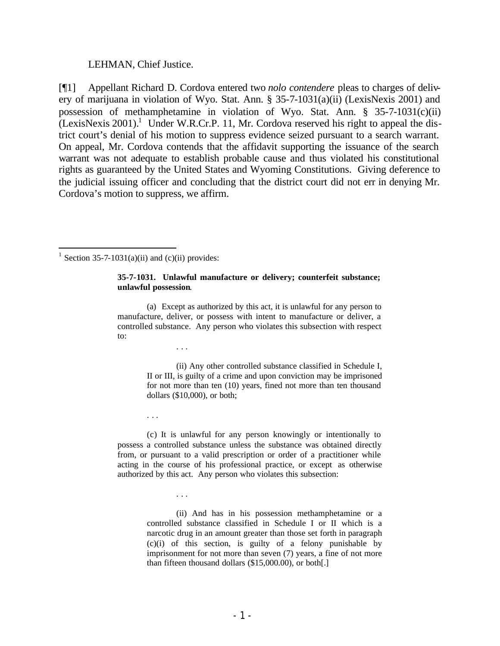#### LEHMAN, Chief Justice.

[¶1] Appellant Richard D. Cordova entered two *nolo contendere* pleas to charges of delivery of marijuana in violation of Wyo. Stat. Ann. § 35-7-1031(a)(ii) (LexisNexis 2001) and possession of methamphetamine in violation of Wyo. Stat. Ann. § 35-7-1031(c)(ii)  $(LexisNexis 2001).$ <sup>1</sup> Under W.R.Cr.P. 11, Mr. Cordova reserved his right to appeal the district court's denial of his motion to suppress evidence seized pursuant to a search warrant. On appeal, Mr. Cordova contends that the affidavit supporting the issuance of the search warrant was not adequate to establish probable cause and thus violated his constitutional rights as guaranteed by the United States and Wyoming Constitutions. Giving deference to the judicial issuing officer and concluding that the district court did not err in denying Mr. Cordova's motion to suppress, we affirm.

<sup>1</sup> Section 35-7-1031(a)(ii) and (c)(ii) provides:

. . .

. . .

. . .

#### **35-7-1031. Unlawful manufacture or delivery; counterfeit substance; unlawful possession**.

(a) Except as authorized by this act, it is unlawful for any person to manufacture, deliver, or possess with intent to manufacture or deliver, a controlled substance. Any person who violates this subsection with respect to:

> (ii) Any other controlled substance classified in Schedule I, II or III, is guilty of a crime and upon conviction may be imprisoned for not more than ten (10) years, fined not more than ten thousand dollars (\$10,000), or both;

(c) It is unlawful for any person knowingly or intentionally to possess a controlled substance unless the substance was obtained directly from, or pursuant to a valid prescription or order of a practitioner while acting in the course of his professional practice, or except as otherwise authorized by this act. Any person who violates this subsection:

> (ii) And has in his possession methamphetamine or a controlled substance classified in Schedule I or II which is a narcotic drug in an amount greater than those set forth in paragraph (c)(i) of this section, is guilty of a felony punishable by imprisonment for not more than seven (7) years, a fine of not more than fifteen thousand dollars (\$15,000.00), or both[.]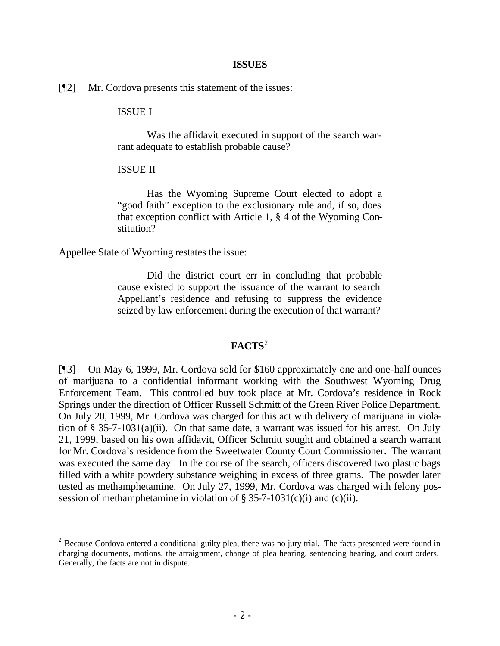#### **ISSUES**

[¶2] Mr. Cordova presents this statement of the issues:

### ISSUE I

Was the affidavit executed in support of the search warrant adequate to establish probable cause?

#### ISSUE II

Has the Wyoming Supreme Court elected to adopt a "good faith" exception to the exclusionary rule and, if so, does that exception conflict with Article 1, § 4 of the Wyoming Constitution?

Appellee State of Wyoming restates the issue:

Did the district court err in concluding that probable cause existed to support the issuance of the warrant to search Appellant's residence and refusing to suppress the evidence seized by law enforcement during the execution of that warrant?

### **FACTS**<sup>2</sup>

[¶3] On May 6, 1999, Mr. Cordova sold for \$160 approximately one and one-half ounces of marijuana to a confidential informant working with the Southwest Wyoming Drug Enforcement Team. This controlled buy took place at Mr. Cordova's residence in Rock Springs under the direction of Officer Russell Schmitt of the Green River Police Department. On July 20, 1999, Mr. Cordova was charged for this act with delivery of marijuana in violation of  $\S$  35-7-1031(a)(ii). On that same date, a warrant was issued for his arrest. On July 21, 1999, based on his own affidavit, Officer Schmitt sought and obtained a search warrant for Mr. Cordova's residence from the Sweetwater County Court Commissioner. The warrant was executed the same day. In the course of the search, officers discovered two plastic bags filled with a white powdery substance weighing in excess of three grams. The powder later tested as methamphetamine. On July 27, 1999, Mr. Cordova was charged with felony possession of methamphetamine in violation of  $\S$  35-7-1031(c)(i) and (c)(ii).

 $2^2$  Because Cordova entered a conditional guilty plea, there was no jury trial. The facts presented were found in charging documents, motions, the arraignment, change of plea hearing, sentencing hearing, and court orders. Generally, the facts are not in dispute.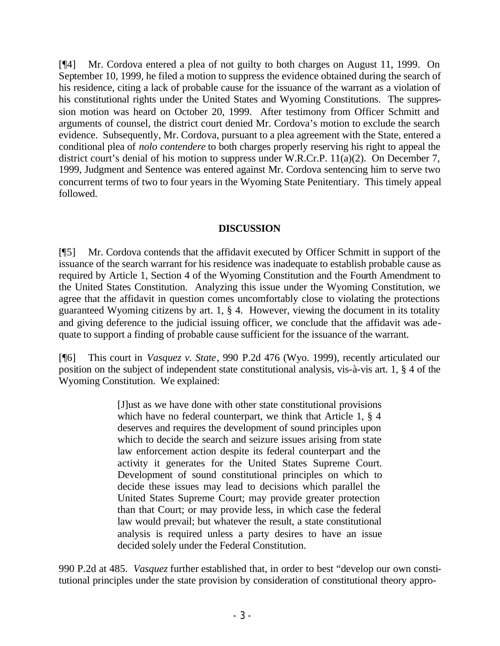[¶4] Mr. Cordova entered a plea of not guilty to both charges on August 11, 1999. On September 10, 1999, he filed a motion to suppress the evidence obtained during the search of his residence, citing a lack of probable cause for the issuance of the warrant as a violation of his constitutional rights under the United States and Wyoming Constitutions. The suppression motion was heard on October 20, 1999. After testimony from Officer Schmitt and arguments of counsel, the district court denied Mr. Cordova's motion to exclude the search evidence. Subsequently, Mr. Cordova, pursuant to a plea agreement with the State, entered a conditional plea of *nolo contendere* to both charges properly reserving his right to appeal the district court's denial of his motion to suppress under W.R.Cr.P. 11(a)(2). On December 7, 1999, Judgment and Sentence was entered against Mr. Cordova sentencing him to serve two concurrent terms of two to four years in the Wyoming State Penitentiary. This timely appeal followed.

# **DISCUSSION**

[¶5] Mr. Cordova contends that the affidavit executed by Officer Schmitt in support of the issuance of the search warrant for his residence was inadequate to establish probable cause as required by Article 1, Section 4 of the Wyoming Constitution and the Fourth Amendment to the United States Constitution. Analyzing this issue under the Wyoming Constitution, we agree that the affidavit in question comes uncomfortably close to violating the protections guaranteed Wyoming citizens by art. 1, § 4. However, viewing the document in its totality and giving deference to the judicial issuing officer, we conclude that the affidavit was adequate to support a finding of probable cause sufficient for the issuance of the warrant.

[¶6] This court in *Vasquez v. State*, 990 P.2d 476 (Wyo. 1999), recently articulated our position on the subject of independent state constitutional analysis, vis-à-vis art. 1, § 4 of the Wyoming Constitution. We explained:

> [J]ust as we have done with other state constitutional provisions which have no federal counterpart, we think that Article 1, § 4 deserves and requires the development of sound principles upon which to decide the search and seizure issues arising from state law enforcement action despite its federal counterpart and the activity it generates for the United States Supreme Court. Development of sound constitutional principles on which to decide these issues may lead to decisions which parallel the United States Supreme Court; may provide greater protection than that Court; or may provide less, in which case the federal law would prevail; but whatever the result, a state constitutional analysis is required unless a party desires to have an issue decided solely under the Federal Constitution.

990 P.2d at 485. *Vasquez* further established that, in order to best "develop our own constitutional principles under the state provision by consideration of constitutional theory appro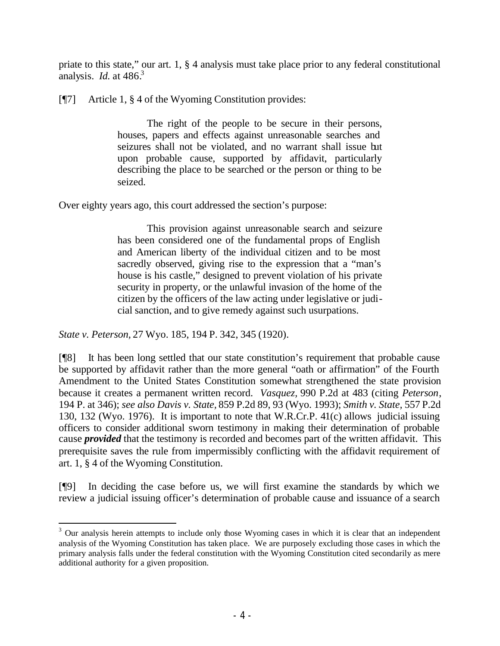priate to this state," our art. 1, § 4 analysis must take place prior to any federal constitutional analysis. *Id.* at 486.<sup>3</sup>

[¶7] Article 1, § 4 of the Wyoming Constitution provides:

The right of the people to be secure in their persons, houses, papers and effects against unreasonable searches and seizures shall not be violated, and no warrant shall issue but upon probable cause, supported by affidavit, particularly describing the place to be searched or the person or thing to be seized.

Over eighty years ago, this court addressed the section's purpose:

This provision against unreasonable search and seizure has been considered one of the fundamental props of English and American liberty of the individual citizen and to be most sacredly observed, giving rise to the expression that a "man's house is his castle," designed to prevent violation of his private security in property, or the unlawful invasion of the home of the citizen by the officers of the law acting under legislative or judicial sanction, and to give remedy against such usurpations.

*State v. Peterson,* 27 Wyo. 185, 194 P. 342, 345 (1920).

[¶8] It has been long settled that our state constitution's requirement that probable cause be supported by affidavit rather than the more general "oath or affirmation" of the Fourth Amendment to the United States Constitution somewhat strengthened the state provision because it creates a permanent written record. *Vasquez,* 990 P.2d at 483 (citing *Peterson*, 194 P. at 346); *see also Davis v. State,* 859 P.2d 89, 93 (Wyo. 1993); *Smith v. State,* 557 P.2d 130, 132 (Wyo. 1976). It is important to note that W.R.Cr.P. 41(c) allows judicial issuing officers to consider additional sworn testimony in making their determination of probable cause *provided* that the testimony is recorded and becomes part of the written affidavit. This prerequisite saves the rule from impermissibly conflicting with the affidavit requirement of art. 1, § 4 of the Wyoming Constitution.

[¶9] In deciding the case before us, we will first examine the standards by which we review a judicial issuing officer's determination of probable cause and issuance of a search

 $3$  Our analysis herein attempts to include only those Wyoming cases in which it is clear that an independent analysis of the Wyoming Constitution has taken place. We are purposely excluding those cases in which the primary analysis falls under the federal constitution with the Wyoming Constitution cited secondarily as mere additional authority for a given proposition.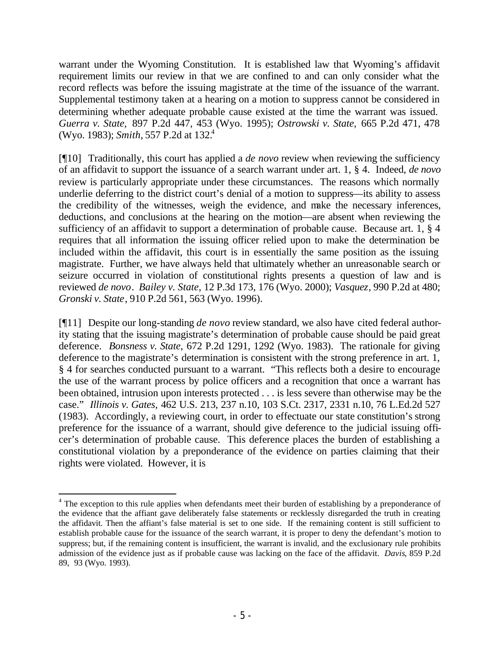warrant under the Wyoming Constitution. It is established law that Wyoming's affidavit requirement limits our review in that we are confined to and can only consider what the record reflects was before the issuing magistrate at the time of the issuance of the warrant. Supplemental testimony taken at a hearing on a motion to suppress cannot be considered in determining whether adequate probable cause existed at the time the warrant was issued. *Guerra v. State,* 897 P.2d 447, 453 (Wyo. 1995); *Ostrowski v. State,* 665 P.2d 471, 478 (Wyo. 1983); *Smith,* 557 P.2d at 132.<sup>4</sup>

[¶10] Traditionally, this court has applied a *de novo* review when reviewing the sufficiency of an affidavit to support the issuance of a search warrant under art. 1, § 4. Indeed, *de novo*  review is particularly appropriate under these circumstances. The reasons which normally underlie deferring to the district court's denial of a motion to suppress—its ability to assess the credibility of the witnesses, weigh the evidence, and make the necessary inferences, deductions, and conclusions at the hearing on the motion—are absent when reviewing the sufficiency of an affidavit to support a determination of probable cause. Because art. 1, § 4 requires that all information the issuing officer relied upon to make the determination be included within the affidavit, this court is in essentially the same position as the issuing magistrate. Further, we have always held that ultimately whether an unreasonable search or seizure occurred in violation of constitutional rights presents a question of law and is reviewed *de novo*. *Bailey v. State,* 12 P.3d 173, 176 (Wyo. 2000); *Vasquez*, 990 P.2d at 480; *Gronski v. State*, 910 P.2d 561, 563 (Wyo. 1996).

[¶11] Despite our long-standing *de novo* review standard, we also have cited federal authority stating that the issuing magistrate's determination of probable cause should be paid great deference. *Bonsness v. State,* 672 P.2d 1291, 1292 (Wyo. 1983). The rationale for giving deference to the magistrate's determination is consistent with the strong preference in art. 1, § 4 for searches conducted pursuant to a warrant. "This reflects both a desire to encourage the use of the warrant process by police officers and a recognition that once a warrant has been obtained, intrusion upon interests protected . . . is less severe than otherwise may be the case." *Illinois v. Gates,* 462 U.S. 213, 237 n.10, 103 S.Ct. 2317, 2331 n.10, 76 L.Ed.2d 527 (1983). Accordingly, a reviewing court, in order to effectuate our state constitution's strong preference for the issuance of a warrant, should give deference to the judicial issuing officer's determination of probable cause. This deference places the burden of establishing a constitutional violation by a preponderance of the evidence on parties claiming that their rights were violated. However, it is

<sup>&</sup>lt;sup>4</sup> The exception to this rule applies when defendants meet their burden of establishing by a preponderance of the evidence that the affiant gave deliberately false statements or recklessly disregarded the truth in creating the affidavit. Then the affiant's false material is set to one side. If the remaining content is still sufficient to establish probable cause for the issuance of the search warrant, it is proper to deny the defendant's motion to suppress; but, if the remaining content is insufficient, the warrant is invalid, and the exclusionary rule prohibits admission of the evidence just as if probable cause was lacking on the face of the affidavit. *Davis*, 859 P.2d 89, 93 (Wyo. 1993).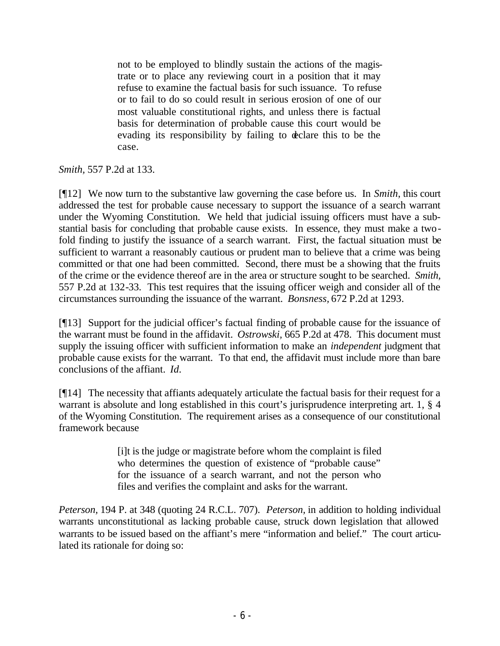not to be employed to blindly sustain the actions of the magistrate or to place any reviewing court in a position that it may refuse to examine the factual basis for such issuance. To refuse or to fail to do so could result in serious erosion of one of our most valuable constitutional rights, and unless there is factual basis for determination of probable cause this court would be evading its responsibility by failing to declare this to be the case.

*Smith,* 557 P.2d at 133.

[¶12] We now turn to the substantive law governing the case before us. In *Smith*, this court addressed the test for probable cause necessary to support the issuance of a search warrant under the Wyoming Constitution. We held that judicial issuing officers must have a substantial basis for concluding that probable cause exists. In essence, they must make a twofold finding to justify the issuance of a search warrant. First, the factual situation must be sufficient to warrant a reasonably cautious or prudent man to believe that a crime was being committed or that one had been committed. Second, there must be a showing that the fruits of the crime or the evidence thereof are in the area or structure sought to be searched. *Smith,*  557 P.2d at 132-33. This test requires that the issuing officer weigh and consider all of the circumstances surrounding the issuance of the warrant. *Bonsness,* 672 P.2d at 1293.

[¶13] Support for the judicial officer's factual finding of probable cause for the issuance of the warrant must be found in the affidavit. *Ostrowski,* 665 P.2d at 478. This document must supply the issuing officer with sufficient information to make an *independent* judgment that probable cause exists for the warrant. To that end, the affidavit must include more than bare conclusions of the affiant. *Id.*

[¶14] The necessity that affiants adequately articulate the factual basis for their request for a warrant is absolute and long established in this court's jurisprudence interpreting art. 1, § 4 of the Wyoming Constitution. The requirement arises as a consequence of our constitutional framework because

> [i]t is the judge or magistrate before whom the complaint is filed who determines the question of existence of "probable cause" for the issuance of a search warrant, and not the person who files and verifies the complaint and asks for the warrant.

*Peterson,* 194 P. at 348 (quoting 24 R.C.L. 707). *Peterson,* in addition to holding individual warrants unconstitutional as lacking probable cause, struck down legislation that allowed warrants to be issued based on the affiant's mere "information and belief." The court articulated its rationale for doing so: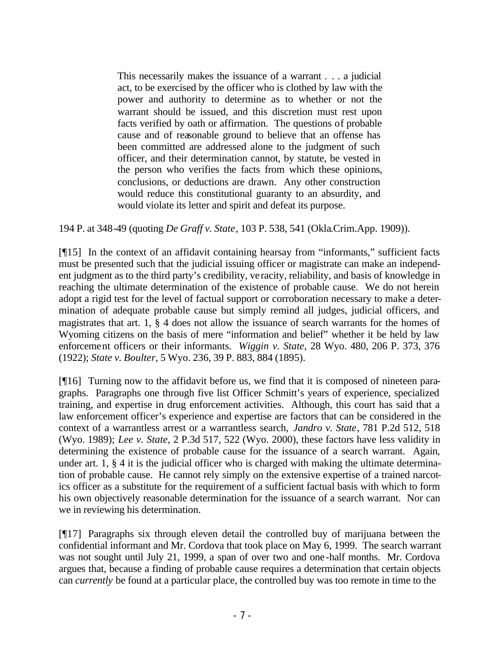This necessarily makes the issuance of a warrant . . . a judicial act, to be exercised by the officer who is clothed by law with the power and authority to determine as to whether or not the warrant should be issued, and this discretion must rest upon facts verified by oath or affirmation. The questions of probable cause and of reasonable ground to believe that an offense has been committed are addressed alone to the judgment of such officer, and their determination cannot, by statute, be vested in the person who verifies the facts from which these opinions, conclusions, or deductions are drawn. Any other construction would reduce this constitutional guaranty to an absurdity, and would violate its letter and spirit and defeat its purpose.

194 P. at 348-49 (quoting *De Graff v. State*, 103 P. 538, 541 (Okla.Crim.App. 1909)).

[¶15] In the context of an affidavit containing hearsay from "informants," sufficient facts must be presented such that the judicial issuing officer or magistrate can make an independent judgment as to the third party's credibility, veracity, reliability, and basis of knowledge in reaching the ultimate determination of the existence of probable cause. We do not herein adopt a rigid test for the level of factual support or corroboration necessary to make a determination of adequate probable cause but simply remind all judges, judicial officers, and magistrates that art. 1, § 4 does not allow the issuance of search warrants for the homes of Wyoming citizens on the basis of mere "information and belief" whether it be held by law enforcement officers or their informants. *Wiggin v. State*, 28 Wyo. 480, 206 P. 373, 376 (1922); *State v. Boulter*, 5 Wyo. 236, 39 P. 883, 884 (1895).

[¶16] Turning now to the affidavit before us, we find that it is composed of nineteen paragraphs. Paragraphs one through five list Officer Schmitt's years of experience, specialized training, and expertise in drug enforcement activities. Although, this court has said that a law enforcement officer's experience and expertise are factors that can be considered in the context of a warrantless arrest or a warrantless search, *Jandro v. State*, 781 P.2d 512, 518 (Wyo. 1989); *Lee v. State*, 2 P.3d 517, 522 (Wyo. 2000), these factors have less validity in determining the existence of probable cause for the issuance of a search warrant. Again, under art. 1, § 4 it is the judicial officer who is charged with making the ultimate determination of probable cause. He cannot rely simply on the extensive expertise of a trained narcotics officer as a substitute for the requirement of a sufficient factual basis with which to form his own objectively reasonable determination for the issuance of a search warrant. Nor can we in reviewing his determination.

[¶17] Paragraphs six through eleven detail the controlled buy of marijuana between the confidential informant and Mr. Cordova that took place on May 6, 1999. The search warrant was not sought until July 21, 1999, a span of over two and one-half months. Mr. Cordova argues that, because a finding of probable cause requires a determination that certain objects can *currently* be found at a particular place, the controlled buy was too remote in time to the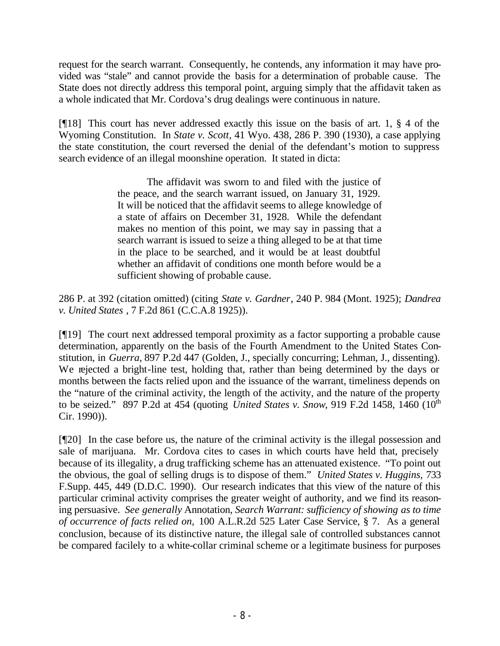request for the search warrant. Consequently, he contends, any information it may have provided was "stale" and cannot provide the basis for a determination of probable cause. The State does not directly address this temporal point, arguing simply that the affidavit taken as a whole indicated that Mr. Cordova's drug dealings were continuous in nature.

[¶18] This court has never addressed exactly this issue on the basis of art. 1, § 4 of the Wyoming Constitution. In *State v. Scott,* 41 Wyo. 438, 286 P. 390 (1930), a case applying the state constitution, the court reversed the denial of the defendant's motion to suppress search evidence of an illegal moonshine operation. It stated in dicta:

> The affidavit was sworn to and filed with the justice of the peace, and the search warrant issued, on January 31, 1929. It will be noticed that the affidavit seems to allege knowledge of a state of affairs on December 31, 1928. While the defendant makes no mention of this point, we may say in passing that a search warrant is issued to seize a thing alleged to be at that time in the place to be searched, and it would be at least doubtful whether an affidavit of conditions one month before would be a sufficient showing of probable cause.

286 P. at 392 (citation omitted) (citing *State v. Gardner*, 240 P. 984 (Mont. 1925); *Dandrea v. United States* , 7 F.2d 861 (C.C.A.8 1925)).

[¶19] The court next addressed temporal proximity as a factor supporting a probable cause determination, apparently on the basis of the Fourth Amendment to the United States Constitution, in *Guerra,* 897 P.2d 447 (Golden, J., specially concurring; Lehman, J., dissenting). We rejected a bright-line test, holding that, rather than being determined by the days or months between the facts relied upon and the issuance of the warrant, timeliness depends on the "nature of the criminal activity, the length of the activity, and the nature of the property to be seized." 897 P.2d at 454 (quoting *United States v. Snow*, 919 F.2d 1458, 1460 (10<sup>th</sup>) Cir. 1990)).

[¶20] In the case before us, the nature of the criminal activity is the illegal possession and sale of marijuana. Mr. Cordova cites to cases in which courts have held that, precisely because of its illegality, a drug trafficking scheme has an attenuated existence. "To point out the obvious, the goal of selling drugs is to dispose of them." *United States v. Huggins,* 733 F.Supp. 445, 449 (D.D.C. 1990). Our research indicates that this view of the nature of this particular criminal activity comprises the greater weight of authority, and we find its reasoning persuasive. *See generally* Annotation, *Search Warrant: sufficiency of showing as to time of occurrence of facts relied on,* 100 A.L.R.2d 525 Later Case Service, § 7. As a general conclusion, because of its distinctive nature, the illegal sale of controlled substances cannot be compared facilely to a white-collar criminal scheme or a legitimate business for purposes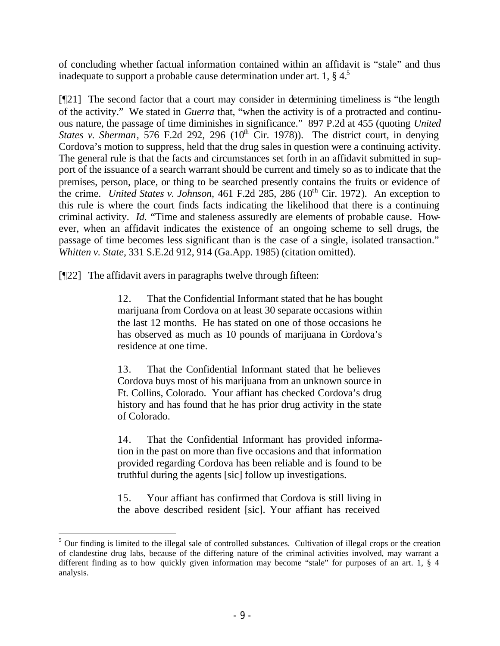of concluding whether factual information contained within an affidavit is "stale" and thus inadequate to support a probable cause determination under art. 1,  $\S 4$ <sup>5</sup>

[¶21] The second factor that a court may consider in determining timeliness is "the length of the activity." We stated in *Guerra* that, "when the activity is of a protracted and continuous nature, the passage of time diminishes in significance." 897 P.2d at 455 (quoting *United States v. Sherman*, 576 F.2d 292, 296  $(10<sup>th</sup>$  Cir. 1978). The district court, in denying Cordova's motion to suppress, held that the drug sales in question were a continuing activity. The general rule is that the facts and circumstances set forth in an affidavit submitted in support of the issuance of a search warrant should be current and timely so as to indicate that the premises, person, place, or thing to be searched presently contains the fruits or evidence of the crime. *United States v. Johnson*, 461 F.2d 285, 286 (10<sup>th</sup> Cir. 1972). An exception to this rule is where the court finds facts indicating the likelihood that there is a continuing criminal activity. *Id.* "Time and staleness assuredly are elements of probable cause. However, when an affidavit indicates the existence of an ongoing scheme to sell drugs, the passage of time becomes less significant than is the case of a single, isolated transaction." *Whitten v. State,* 331 S.E.2d 912, 914 (Ga.App. 1985) (citation omitted).

[¶22] The affidavit avers in paragraphs twelve through fifteen:

12. That the Confidential Informant stated that he has bought marijuana from Cordova on at least 30 separate occasions within the last 12 months. He has stated on one of those occasions he has observed as much as 10 pounds of marijuana in Cordova's residence at one time.

13. That the Confidential Informant stated that he believes Cordova buys most of his marijuana from an unknown source in Ft. Collins, Colorado. Your affiant has checked Cordova's drug history and has found that he has prior drug activity in the state of Colorado.

14. That the Confidential Informant has provided information in the past on more than five occasions and that information provided regarding Cordova has been reliable and is found to be truthful during the agents [sic] follow up investigations.

15. Your affiant has confirmed that Cordova is still living in the above described resident [sic]. Your affiant has received

<sup>&</sup>lt;sup>5</sup> Our finding is limited to the illegal sale of controlled substances. Cultivation of illegal crops or the creation of clandestine drug labs, because of the differing nature of the criminal activities involved, may warrant a different finding as to how quickly given information may become "stale" for purposes of an art. 1, § 4 analysis.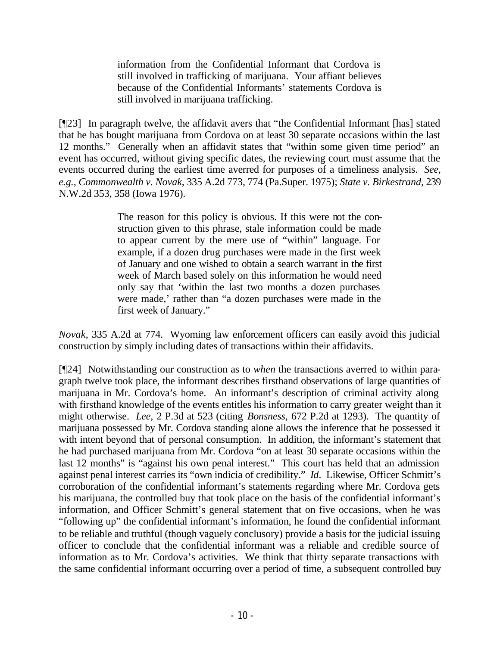information from the Confidential Informant that Cordova is still involved in trafficking of marijuana. Your affiant believes because of the Confidential Informants' statements Cordova is still involved in marijuana trafficking.

[¶23] In paragraph twelve, the affidavit avers that "the Confidential Informant [has] stated that he has bought marijuana from Cordova on at least 30 separate occasions within the last 12 months." Generally when an affidavit states that "within some given time period" an event has occurred, without giving specific dates, the reviewing court must assume that the events occurred during the earliest time averred for purposes of a timeliness analysis. *See, e.g., Commonwealth v. Novak*, 335 A.2d 773, 774 (Pa.Super. 1975); *State v. Birkestrand,* 239 N.W.2d 353, 358 (Iowa 1976).

> The reason for this policy is obvious. If this were not the construction given to this phrase, stale information could be made to appear current by the mere use of "within" language. For example, if a dozen drug purchases were made in the first week of January and one wished to obtain a search warrant in the first week of March based solely on this information he would need only say that 'within the last two months a dozen purchases were made,' rather than "a dozen purchases were made in the first week of January."

*Novak*, 335 A.2d at 774. Wyoming law enforcement officers can easily avoid this judicial construction by simply including dates of transactions within their affidavits.

[¶24] Notwithstanding our construction as to *when* the transactions averred to within paragraph twelve took place, the informant describes firsthand observations of large quantities of marijuana in Mr. Cordova's home. An informant's description of criminal activity along with firsthand knowledge of the events entitles his information to carry greater weight than it might otherwise. *Lee,* 2 P.3d at 523 (citing *Bonsness,* 672 P.2d at 1293). The quantity of marijuana possessed by Mr. Cordova standing alone allows the inference that he possessed it with intent beyond that of personal consumption. In addition, the informant's statement that he had purchased marijuana from Mr. Cordova "on at least 30 separate occasions within the last 12 months" is "against his own penal interest." This court has held that an admission against penal interest carries its "own indicia of credibility." *Id.* Likewise, Officer Schmitt's corroboration of the confidential informant's statements regarding where Mr. Cordova gets his marijuana, the controlled buy that took place on the basis of the confidential informant's information, and Officer Schmitt's general statement that on five occasions, when he was "following up" the confidential informant's information, he found the confidential informant to be reliable and truthful (though vaguely conclusory) provide a basis for the judicial issuing officer to conclude that the confidential informant was a reliable and credible source of information as to Mr. Cordova's activities. We think that thirty separate transactions with the same confidential informant occurring over a period of time, a subsequent controlled buy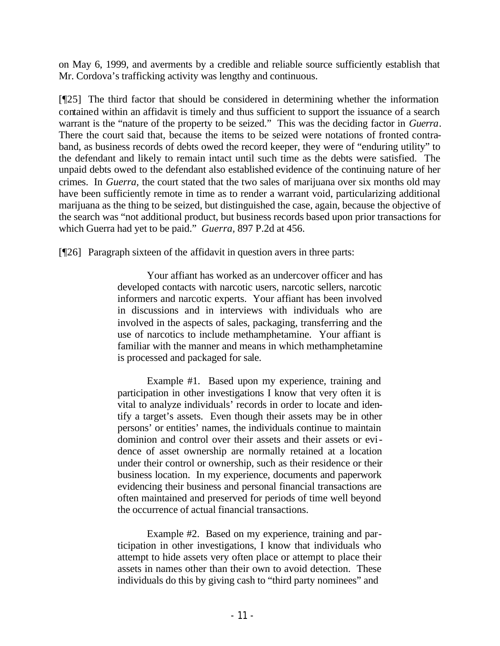on May 6, 1999, and averments by a credible and reliable source sufficiently establish that Mr. Cordova's trafficking activity was lengthy and continuous.

[¶25] The third factor that should be considered in determining whether the information contained within an affidavit is timely and thus sufficient to support the issuance of a search warrant is the "nature of the property to be seized." This was the deciding factor in *Guerra*. There the court said that, because the items to be seized were notations of fronted contraband, as business records of debts owed the record keeper, they were of "enduring utility" to the defendant and likely to remain intact until such time as the debts were satisfied. The unpaid debts owed to the defendant also established evidence of the continuing nature of her crimes. In *Guerra,* the court stated that the two sales of marijuana over six months old may have been sufficiently remote in time as to render a warrant void, particularizing additional marijuana as the thing to be seized, but distinguished the case, again, because the objective of the search was "not additional product, but business records based upon prior transactions for which Guerra had yet to be paid." *Guerra,* 897 P.2d at 456.

[¶26] Paragraph sixteen of the affidavit in question avers in three parts:

Your affiant has worked as an undercover officer and has developed contacts with narcotic users, narcotic sellers, narcotic informers and narcotic experts. Your affiant has been involved in discussions and in interviews with individuals who are involved in the aspects of sales, packaging, transferring and the use of narcotics to include methamphetamine. Your affiant is familiar with the manner and means in which methamphetamine is processed and packaged for sale.

Example #1. Based upon my experience, training and participation in other investigations I know that very often it is vital to analyze individuals' records in order to locate and identify a target's assets. Even though their assets may be in other persons' or entities' names, the individuals continue to maintain dominion and control over their assets and their assets or evidence of asset ownership are normally retained at a location under their control or ownership, such as their residence or their business location. In my experience, documents and paperwork evidencing their business and personal financial transactions are often maintained and preserved for periods of time well beyond the occurrence of actual financial transactions.

Example #2. Based on my experience, training and participation in other investigations, I know that individuals who attempt to hide assets very often place or attempt to place their assets in names other than their own to avoid detection. These individuals do this by giving cash to "third party nominees" and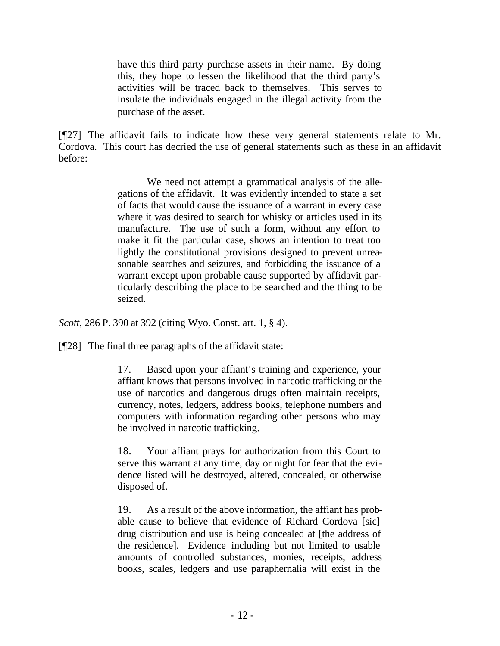have this third party purchase assets in their name. By doing this, they hope to lessen the likelihood that the third party's activities will be traced back to themselves. This serves to insulate the individuals engaged in the illegal activity from the purchase of the asset.

[¶27] The affidavit fails to indicate how these very general statements relate to Mr. Cordova. This court has decried the use of general statements such as these in an affidavit before:

> We need not attempt a grammatical analysis of the allegations of the affidavit. It was evidently intended to state a set of facts that would cause the issuance of a warrant in every case where it was desired to search for whisky or articles used in its manufacture. The use of such a form, without any effort to make it fit the particular case, shows an intention to treat too lightly the constitutional provisions designed to prevent unreasonable searches and seizures, and forbidding the issuance of a warrant except upon probable cause supported by affidavit particularly describing the place to be searched and the thing to be seized.

*Scott,* 286 P. 390 at 392 (citing Wyo. Const. art. 1, § 4).

[¶28] The final three paragraphs of the affidavit state:

17. Based upon your affiant's training and experience, your affiant knows that persons involved in narcotic trafficking or the use of narcotics and dangerous drugs often maintain receipts, currency, notes, ledgers, address books, telephone numbers and computers with information regarding other persons who may be involved in narcotic trafficking.

18. Your affiant prays for authorization from this Court to serve this warrant at any time, day or night for fear that the evidence listed will be destroyed, altered, concealed, or otherwise disposed of.

19. As a result of the above information, the affiant has probable cause to believe that evidence of Richard Cordova [sic] drug distribution and use is being concealed at [the address of the residence]. Evidence including but not limited to usable amounts of controlled substances, monies, receipts, address books, scales, ledgers and use paraphernalia will exist in the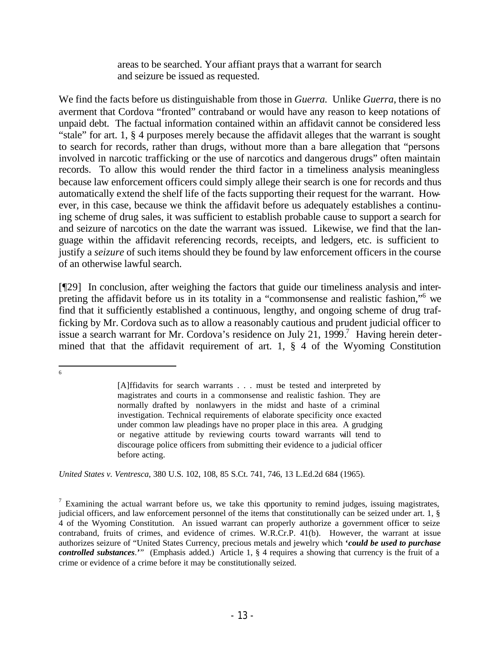areas to be searched. Your affiant prays that a warrant for search and seizure be issued as requested.

We find the facts before us distinguishable from those in *Guerra.* Unlike *Guerra*, there is no averment that Cordova "fronted" contraband or would have any reason to keep notations of unpaid debt. The factual information contained within an affidavit cannot be considered less "stale" for art. 1, § 4 purposes merely because the affidavit alleges that the warrant is sought to search for records, rather than drugs, without more than a bare allegation that "persons involved in narcotic trafficking or the use of narcotics and dangerous drugs" often maintain records. To allow this would render the third factor in a timeliness analysis meaningless because law enforcement officers could simply allege their search is one for records and thus automatically extend the shelf life of the facts supporting their request for the warrant. However, in this case, because we think the affidavit before us adequately establishes a continuing scheme of drug sales, it was sufficient to establish probable cause to support a search for and seizure of narcotics on the date the warrant was issued. Likewise, we find that the language within the affidavit referencing records, receipts, and ledgers, etc. is sufficient to justify a *seizure* of such items should they be found by law enforcement officers in the course of an otherwise lawful search.

[¶29] In conclusion, after weighing the factors that guide our timeliness analysis and interpreting the affidavit before us in its totality in a "commonsense and realistic fashion,"<sup>6</sup> we find that it sufficiently established a continuous, lengthy, and ongoing scheme of drug trafficking by Mr. Cordova such as to allow a reasonably cautious and prudent judicial officer to issue a search warrant for Mr. Cordova's residence on July 21, 1999.<sup>7</sup> Having herein determined that that the affidavit requirement of art. 1, § 4 of the Wyoming Constitution

*United States v. Ventresca*, 380 U.S. 102, 108, 85 S.Ct. 741, 746, 13 L.Ed.2d 684 (1965).

 6

<sup>[</sup>A]ffidavits for search warrants . . . must be tested and interpreted by magistrates and courts in a commonsense and realistic fashion. They are normally drafted by nonlawyers in the midst and haste of a criminal investigation. Technical requirements of elaborate specificity once exacted under common law pleadings have no proper place in this area. A grudging or negative attitude by reviewing courts toward warrants will tend to discourage police officers from submitting their evidence to a judicial officer before acting.

<sup>&</sup>lt;sup>7</sup> Examining the actual warrant before us, we take this opportunity to remind judges, issuing magistrates, judicial officers, and law enforcement personnel of the items that constitutionally can be seized under art. 1, § 4 of the Wyoming Constitution. An issued warrant can properly authorize a government officer to seize contraband, fruits of crimes, and evidence of crimes. W.R.Cr.P. 41(b). However, the warrant at issue authorizes seizure of "United States Currency, precious metals and jewelry which **'***could be used to purchase controlled substances*.**'**" (Emphasis added.) Article 1, § 4 requires a showing that currency is the fruit of a crime or evidence of a crime before it may be constitutionally seized.